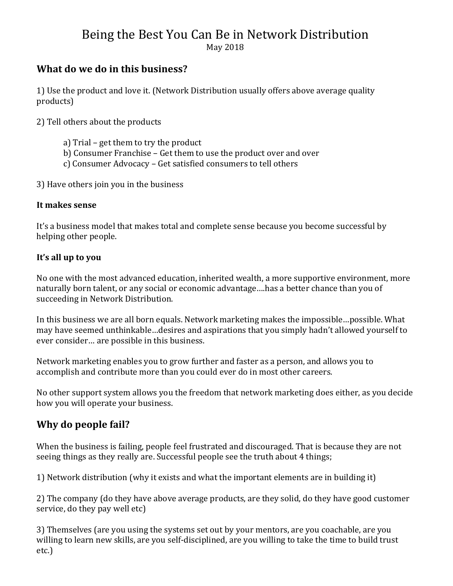# Being the Best You Can Be in Network Distribution

May 2018 

## **What do we do in this business?**

1) Use the product and love it. (Network Distribution usually offers above average quality products) 

2) Tell others about the products

- a) Trial get them to try the product
- b) Consumer Franchise Get them to use the product over and over
- c) Consumer Advocacy Get satisfied consumers to tell others

3) Have others join you in the business

#### **It makes sense**

It's a business model that makes total and complete sense because you become successful by helping other people.

#### **It's all up to you**

No one with the most advanced education, inherited wealth, a more supportive environment, more naturally born talent, or any social or economic advantage....has a better chance than you of succeeding in Network Distribution.

In this business we are all born equals. Network marketing makes the impossible…possible. What may have seemed unthinkable...desires and aspirations that you simply hadn't allowed yourself to ever consider... are possible in this business.

Network marketing enables you to grow further and faster as a person, and allows you to accomplish and contribute more than you could ever do in most other careers.

No other support system allows you the freedom that network marketing does either, as you decide how you will operate your business.

# **Why do people fail?**

When the business is failing, people feel frustrated and discouraged. That is because they are not seeing things as they really are. Successful people see the truth about 4 things;

1) Network distribution (why it exists and what the important elements are in building it)

2) The company (do they have above average products, are they solid, do they have good customer service, do they pay well etc)

3) Themselves (are you using the systems set out by your mentors, are you coachable, are you willing to learn new skills, are you self-disciplined, are you willing to take the time to build trust etc.)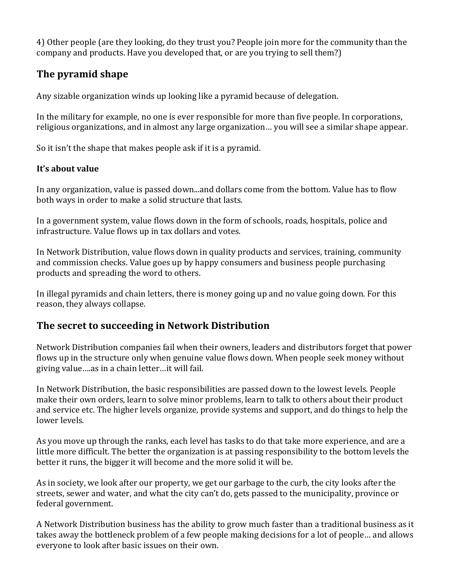4) Other people (are they looking, do they trust you? People join more for the community than the company and products. Have you developed that, or are you trying to sell them?)

## **The pyramid shape**

Any sizable organization winds up looking like a pyramid because of delegation.

In the military for example, no one is ever responsible for more than five people. In corporations, religious organizations, and in almost any large organization... you will see a similar shape appear.

So it isn't the shape that makes people ask if it is a pyramid.

#### **It's about value**

In any organization, value is passed down...and dollars come from the bottom. Value has to flow both ways in order to make a solid structure that lasts.

In a government system, value flows down in the form of schools, roads, hospitals, police and infrastructure. Value flows up in tax dollars and votes.

In Network Distribution, value flows down in quality products and services, training, community and commission checks. Value goes up by happy consumers and business people purchasing products and spreading the word to others.

In illegal pyramids and chain letters, there is money going up and no value going down. For this reason, they always collapse.

#### **The secret to succeeding in Network Distribution**

Network Distribution companies fail when their owners, leaders and distributors forget that power flows up in the structure only when genuine value flows down. When people seek money without giving value .... as in a chain letter ... it will fail.

In Network Distribution, the basic responsibilities are passed down to the lowest levels. People make their own orders, learn to solve minor problems, learn to talk to others about their product and service etc. The higher levels organize, provide systems and support, and do things to help the lower levels.

As you move up through the ranks, each level has tasks to do that take more experience, and are a little more difficult. The better the organization is at passing responsibility to the bottom levels the better it runs, the bigger it will become and the more solid it will be.

As in society, we look after our property, we get our garbage to the curb, the city looks after the streets, sewer and water, and what the city can't do, gets passed to the municipality, province or federal government.

A Network Distribution business has the ability to grow much faster than a traditional business as it takes away the bottleneck problem of a few people making decisions for a lot of people... and allows everyone to look after basic issues on their own.